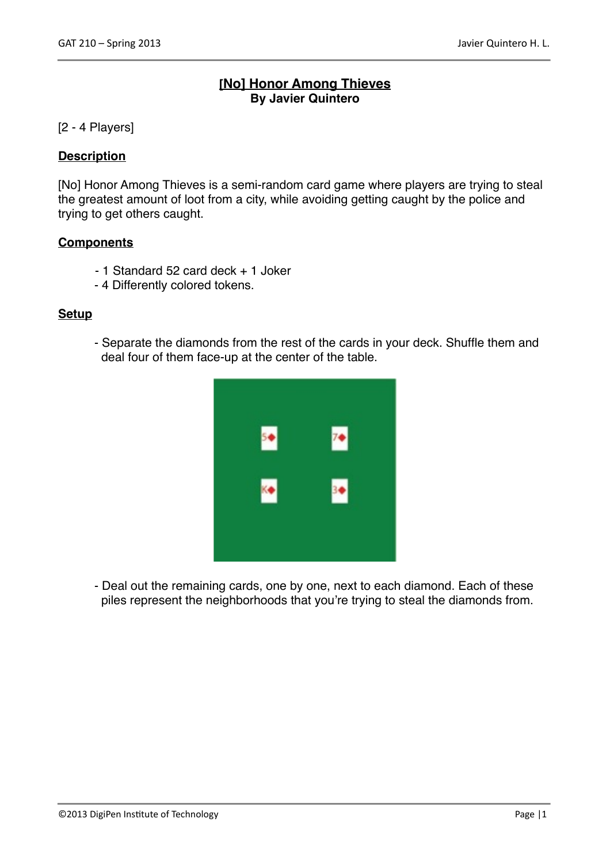# **[No] Honor Among Thieves By Javier Quintero**

### [2 - 4 Players]

### **Description**

[No] Honor Among Thieves is a semi-random card game where players are trying to steal the greatest amount of loot from a city, while avoiding getting caught by the police and trying to get others caught.

### **Components**

- 1 Standard 52 card deck + 1 Joker
- 4 Differently colored tokens.

#### **Setup**

- Separate the diamonds from the rest of the cards in your deck. Shuffle them and deal four of them face-up at the center of the table.



- Deal out the remaining cards, one by one, next to each diamond. Each of these piles represent the neighborhoods that you're trying to steal the diamonds from.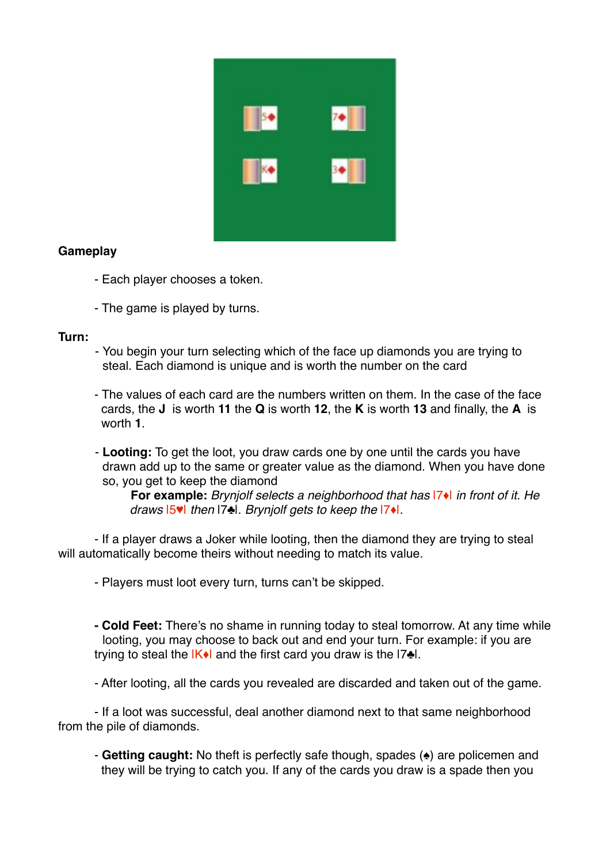

# **Gameplay**

- Each player chooses a token.
- The game is played by turns.

### **Turn:**

- You begin your turn selecting which of the face up diamonds you are trying to steal. Each diamond is unique and is worth the number on the card
- The values of each card are the numbers written on them. In the case of the face cards, the **J** is worth **11** the **Q** is worth **12**, the **K** is worth **13** and finally, the **A** is worth **1**.
- **Looting:** To get the loot, you draw cards one by one until the cards you have drawn add up to the same or greater value as the diamond. When you have done so, you get to keep the diamond

!! **For example:** *Brynjolf selects a neighborhood that has* |7♦| *in front of it. He*  ! ! *draws* |5♥| *then* |7♣|. *Brynjolf gets to keep the* |7♦|.

- If a player draws a Joker while looting, then the diamond they are trying to steal will automatically become theirs without needing to match its value.

- Players must loot every turn, turns can't be skipped.
- **Cold Feet:** There's no shame in running today to steal tomorrow. At any time while looting, you may choose to back out and end your turn. For example: if you are trying to steal the  $|K\bullet|$  and the first card you draw is the  $|7\bullet|$ .

- After looting, all the cards you revealed are discarded and taken out of the game.

- If a loot was successful, deal another diamond next to that same neighborhood from the pile of diamonds.

- **Getting caught:** No theft is perfectly safe though, spades (♠) are policemen and they will be trying to catch you. If any of the cards you draw is a spade then you